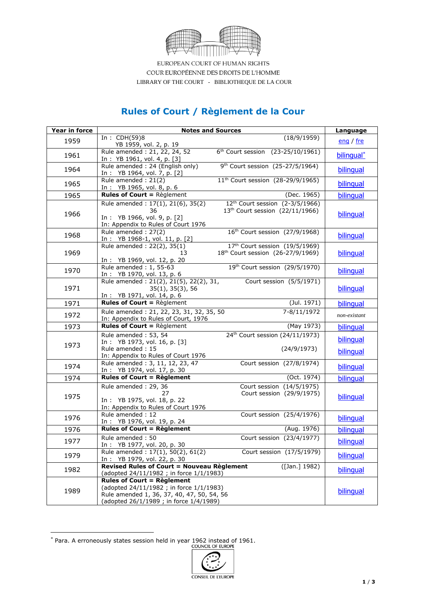

EUROPEAN COURT OF HUMAN RIGHTS COUR EUROPÉENNE DES DROITS DE L'HOMME LIBRARY OF THE COURT - BIBLIOTHEQUE DE LA COUR

## **Rules of Court / Règlement de la Cour**

| Year in force |                                                                                                                                                                       | <b>Notes and Sources</b>                                                                   | Language               |
|---------------|-----------------------------------------------------------------------------------------------------------------------------------------------------------------------|--------------------------------------------------------------------------------------------|------------------------|
| 1959          | In : $CDH(59)8$<br>YB 1959, vol. 2, p. 19                                                                                                                             | (18/9/1959)                                                                                | eng / fre              |
| 1961          | Rule amended: 21, 22, 24, 52<br>In: YB 1961, vol. 4, p. [3]                                                                                                           | 6 <sup>th</sup> Court session (23-25/10/1961)                                              | bilingual <sup>*</sup> |
| 1964          | Rule amended: 24 (English only)<br>In: YB 1964, vol. 7, p. [2]                                                                                                        | 9 <sup>th</sup> Court session (25-27/5/1964)                                               | bilingual              |
| 1965          | Rule amended: 21(2)<br>In: YB 1965, vol. 8, p. 6                                                                                                                      | 11 <sup>th</sup> Court session (28-29/9/1965)                                              | bilingual              |
| 1965          | <b>Rules of Court = Règlement</b>                                                                                                                                     | (Dec. 1965)                                                                                | bilingual              |
| 1966          | Rule amended: 17(1), 21(6), 35(2)<br>36<br>In: YB 1966, vol. 9, p. [2]<br>In: Appendix to Rules of Court 1976                                                         | 12 <sup>th</sup> Court session (2-3/5/1966)<br>13 <sup>th</sup> Court session (22/11/1966) | bilinqual              |
| 1968          | Rule amended: 27(2)<br>In: YB 1968-1, vol. 11, p. [2]                                                                                                                 | 16 <sup>th</sup> Court session (27/9/1968)                                                 | bilingual              |
| 1969          | Rule amended: 22(2), 35(1)<br>13<br>In: YB 1969, vol. 12, p. 20                                                                                                       | 17th Court session (19/5/1969)<br>18 <sup>th</sup> Court session (26-27/9/1969)            | bilinqual              |
| 1970          | Rule amended: 1, 55-63<br>In: YB 1970, vol. 13, p. 6                                                                                                                  | 19th Court session (29/5/1970)                                                             | bilingual              |
| 1971          | Rule amended: 21(2), 21(5), 22(2), 31,<br>35(1), 35(3), 56<br>In: YB 1971, vol. 14, p. 6                                                                              | Court session (5/5/1971)                                                                   | bilingual              |
| 1971          | <b>Rules of Court = Règlement</b>                                                                                                                                     | (Jul. 1971)                                                                                | bilingual              |
| 1972          | Rule amended: 21, 22, 23, 31, 32, 35, 50<br>In: Appendix to Rules of Court, 1976                                                                                      | 7-8/11/1972                                                                                | non-existant           |
| 1973          | <b>Rules of Court = Règlement</b>                                                                                                                                     | (May 1973)                                                                                 | bilingual              |
| 1973          | Rule amended: 53, 54<br>In: YB 1973, vol. 16, p. [3]<br>Rule amended: 15<br>In: Appendix to Rules of Court 1976                                                       | 24 <sup>th</sup> Court session (24/11/1973)<br>(24/9/1973)                                 | bilinqual<br>bilingual |
| 1974          | Rule amended: 3, 11, 12, 23, 47<br>In: YB 1974, vol. 17, p. 30                                                                                                        | Court session (27/8/1974)                                                                  | bilinqual              |
| 1974          | <b>Rules of Court = Règlement</b>                                                                                                                                     | (Oct. 1974)                                                                                | bilingual              |
| 1975          | Rule amended: 29, 36<br>27<br>In: YB 1975, vol. 18, p. 22<br>In: Appendix to Rules of Court 1976                                                                      | Court session (14/5/1975)<br>Court session (29/9/1975)                                     | bilingual              |
| 1976          | Rule amended: 12<br>In: YB 1976, vol. 19, p. 24                                                                                                                       | Court session (25/4/1976)                                                                  | bilinqual              |
| 1976          | <b>Rules of Court = Règlement</b>                                                                                                                                     | (Aug. 1976)                                                                                | bilingual              |
| 1977          | Rule amended: 50<br>In: YB 1977, vol. 20, p. 30                                                                                                                       | Court session (23/4/1977)                                                                  | bilingual              |
| 1979          | Rule amended: 17(1), 50(2), 61(2)<br>In: YB 1979, vol. 22, p. 30                                                                                                      | Court session (17/5/1979)                                                                  | bilinqual              |
| 1982          | <b>Revised Rules of Court = Nouveau Règlement</b><br>([Jan.] 1982)<br>(adopted 24/11/1982 ; in force 1/1/1983)                                                        |                                                                                            | bilingual              |
| 1989          | <b>Rules of Court = Règlement</b><br>(adopted 24/11/1982; in force 1/1/1983)<br>Rule amended 1, 36, 37, 40, 47, 50, 54, 56<br>(adopted 26/1/1989 ; in force 1/4/1989) |                                                                                            | bilinqual              |

 $*$  Para. A erroneously states session held in year 1962 instead of 1961.<br>COUNCIL OF EUROPE

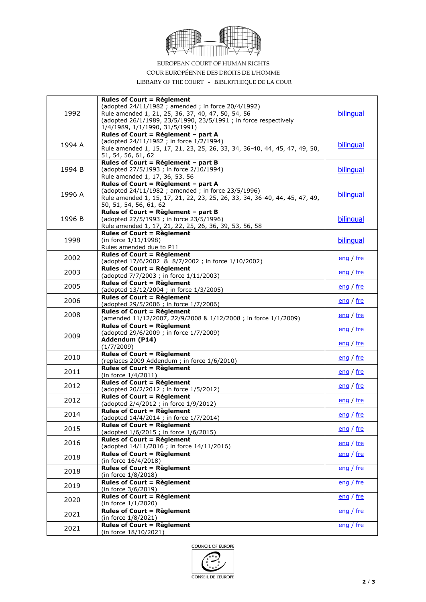

EUROPEAN COURT OF HUMAN RIGHTS

COUR EUROPÉENNE DES DROITS DE L'HOMME

LIBRARY OF THE COURT - BIBLIOTHEQUE DE LA COUR

| 1992   | <b>Rules of Court = Règlement</b><br>(adopted 24/11/1982; amended; in force 20/4/1992)<br>Rule amended 1, 21, 25, 36, 37, 40, 47, 50, 54, 56<br>(adopted 26/1/1989, 23/5/1990, 23/5/1991 ; in force respectively<br>1/4/1989, 1/1/1990, 31/5/1991) | bilingual                     |
|--------|----------------------------------------------------------------------------------------------------------------------------------------------------------------------------------------------------------------------------------------------------|-------------------------------|
| 1994 A | Rules of Court = Règlement - part A<br>(adopted 24/11/1982; in force 1/2/1994)<br>Rule amended 1, 15, 17, 21, 23, 25, 26, 33, 34, 36-40, 44, 45, 47, 49, 50,<br>51, 54, 56, 61, 62                                                                 | <b>bilingual</b>              |
| 1994 B | Rules of Court = Règlement - part B<br>(adopted 27/5/1993; in force 2/10/1994)<br>Rule amended 1, 17, 36, 53, 56                                                                                                                                   | bilingual                     |
| 1996 A | Rules of Court = Règlement - part A<br>(adopted 24/11/1982 ; amended ; in force 23/5/1996)<br>Rule amended 1, 15, 17, 21, 22, 23, 25, 26, 33, 34, 36-40, 44, 45, 47, 49,<br>50, 51, 54, 56, 61, 62                                                 | bilingual                     |
| 1996 B | Rules of Court = Règlement - part B<br>(adopted 27/5/1993; in force 23/5/1996)<br>Rule amended 1, 17, 21, 22, 25, 26, 36, 39, 53, 56, 58                                                                                                           | bilingual                     |
| 1998   | <b>Rules of Court = Règlement</b><br>(in force 1/11/1998)<br>Rules amended due to P11                                                                                                                                                              | bilinqual                     |
| 2002   | <b>Rules of Court = Règlement</b><br>(adopted 17/6/2002 & 8/7/2002 ; in force 1/10/2002)                                                                                                                                                           | eng / fre                     |
| 2003   | <b>Rules of Court = Règlement</b><br>(adopted 7/7/2003 ; in force 1/11/2003)                                                                                                                                                                       | <u>eng</u> / $fre$            |
| 2005   | <b>Rules of Court = Règlement</b><br>(adopted 13/12/2004 ; in force 1/3/2005)                                                                                                                                                                      | eng / fre                     |
| 2006   | <b>Rules of Court = Règlement</b><br>(adopted 29/5/2006 ; in force 1/7/2006)                                                                                                                                                                       | eng / fre                     |
| 2008   | <b>Rules of Court = Règlement</b><br>(amended 11/12/2007, 22/9/2008 & 1/12/2008 ; in force 1/1/2009)                                                                                                                                               | eng / fre                     |
| 2009   | <b>Rules of Court = Règlement</b><br>(adopted 29/6/2009; in force 1/7/2009)<br>Addendum (P14)                                                                                                                                                      | <u>eng</u> / fre<br>eng / fre |
| 2010   | (1/7/2009)<br><b>Rules of Court = Règlement</b>                                                                                                                                                                                                    | eng / fre                     |
| 2011   | (replaces 2009 Addendum ; in force 1/6/2010)<br><b>Rules of Court = Règlement</b>                                                                                                                                                                  | eng / fre                     |
| 2012   | (in force 1/4/2011)<br><b>Rules of Court = Règlement</b>                                                                                                                                                                                           | eng / fre                     |
| 2012   | (adopted 20/2/2012; in force 1/5/2012)<br><b>Rules of Court = Règlement</b><br>(adopted 2/4/2012; in force 1/9/2012)                                                                                                                               | eng / fre                     |
| 2014   | <b>Rules of Court = Règlement</b><br>(adopted 14/4/2014 ; in force 1/7/2014)                                                                                                                                                                       | <u>eng</u> / fre              |
| 2015   | <b>Rules of Court = Règlement</b><br>(adopted 1/6/2015; in force 1/6/2015)                                                                                                                                                                         | eng / fre                     |
| 2016   | <b>Rules of Court = Règlement</b><br>(adopted 14/11/2016 ; in force 14/11/2016)                                                                                                                                                                    | eng / fre                     |
| 2018   | <b>Rules of Court = Règlement</b><br>(in force 16/4/2018)                                                                                                                                                                                          | eng / fre                     |
| 2018   | <b>Rules of Court = Règlement</b><br>(in force 1/8/2018)                                                                                                                                                                                           | eng / fre                     |
| 2019   | <b>Rules of Court = Règlement</b><br>(in force 3/6/2019)                                                                                                                                                                                           | eng / fre                     |
| 2020   | <b>Rules of Court = Règlement</b><br>(in force 1/1/2020)                                                                                                                                                                                           | eng / fre                     |
| 2021   | <b>Rules of Court = Règlement</b><br>(in force 1/8/2021)                                                                                                                                                                                           | eng / fre                     |
| 2021   | <b>Rules of Court = Règlement</b><br>(in force 18/10/2021)                                                                                                                                                                                         | eng / fre                     |